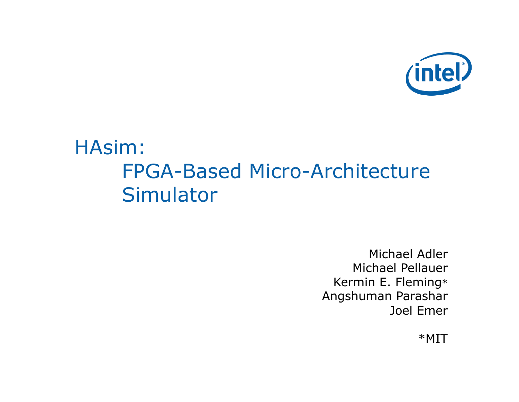

# HAsim: FPGA-Based Micro-Architecture **Simulator**

Michael Adler Michael Pellauer Kermin E. Fleming\* Angshuman Parashar Joel Emer

\*MIT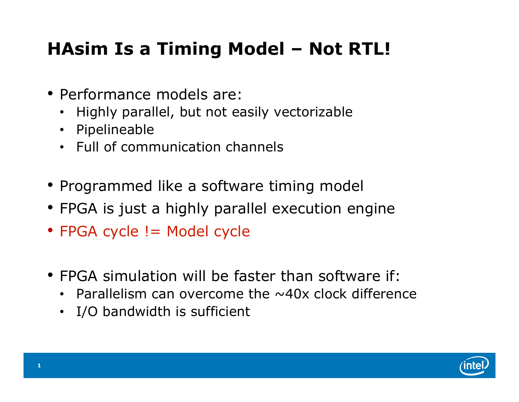# **HAsim Is a Timing Model – Not RTL!**

- Performance models are:
	- Highly parallel, but not easily vectorizable
	- Pipelineable
	- Full of communication channels
- Programmed like a software timing model
- FPGA is just a highly parallel execution engine
- FPGA cycle != Model cycle
- FPGA simulation will be faster than software if:
	- Parallelism can overcome the  $\sim$ 40x clock difference
	- I/O bandwidth is sufficient

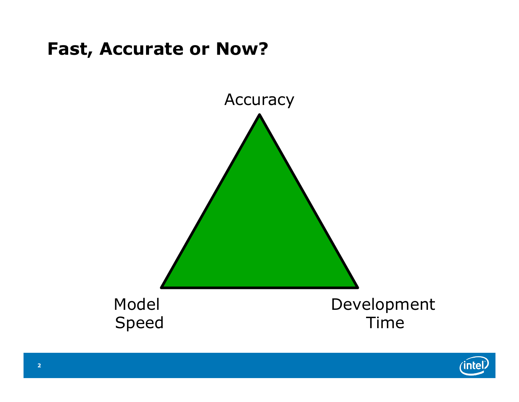#### **Fast, Accurate or Now?**



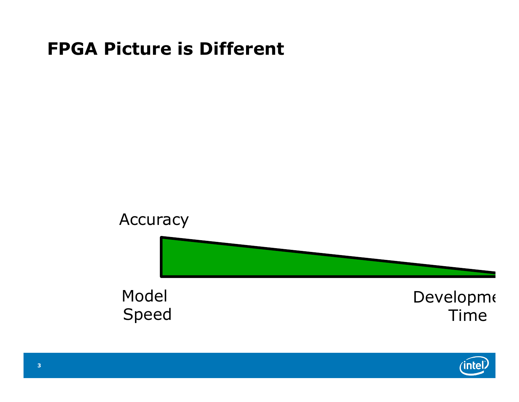#### **FPGA Picture is Different**



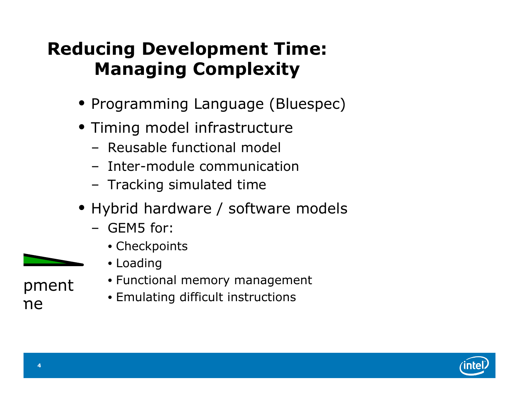### **Reducing Development Time: Managing Complexity**

- Programming Language (Bluespec)
- Timing model infrastructure
	- Reusable functional model
	- Inter-module communication
	- Tracking simulated time
- Hybrid hardware / software models
	- GEM5 for:
		- Checkpoints
		- Loading
- pment ne
- Functional memory management
- Emulating difficult instructions

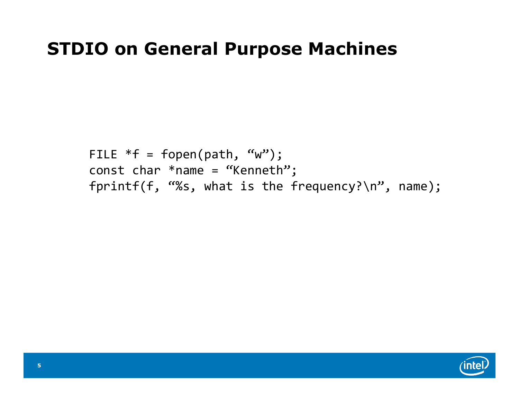#### **STDIO on General Purpose Machines**

FILE  $*f = fopen(path, 'w")$ ; const char  $*$ name = "Kenneth"; fprintf(f, "%s, what is the frequency?\n", name);

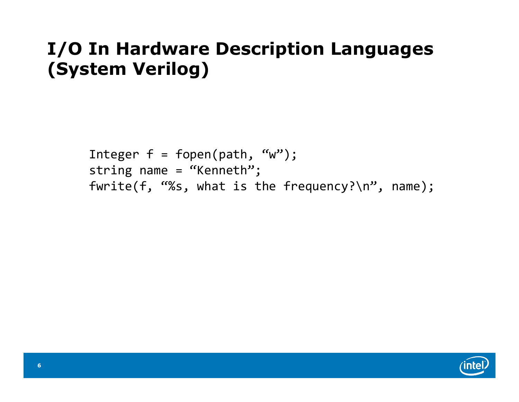# **I/O In Hardware Description Languages (System Verilog)**

Integer  $f = fopen(path, "w")$ ; string name = "Kenneth"; fwrite(f, "%s, what is the frequency?\n", name);

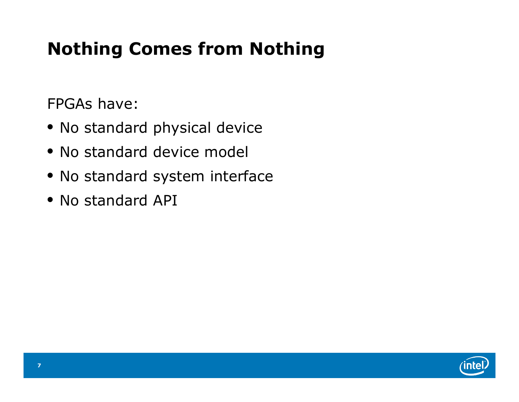# **Nothing Comes from Nothing**

FPGAs have:

- No standard physical device
- No standard device model
- No standard system interface
- No standard API

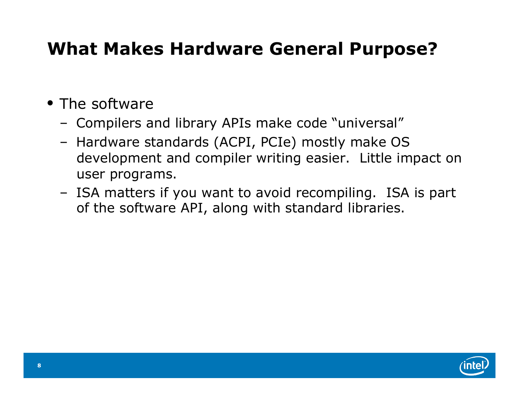### **What Makes Hardware General Purpose?**

- The software
	- Compilers and library APIs make code "universal"
	- Hardware standards (ACPI, PCIe) mostly make OS development and compiler writing easier. Little impact on user programs.
	- ISA matters if you want to avoid recompiling. ISA is part of the software API, along with standard libraries.

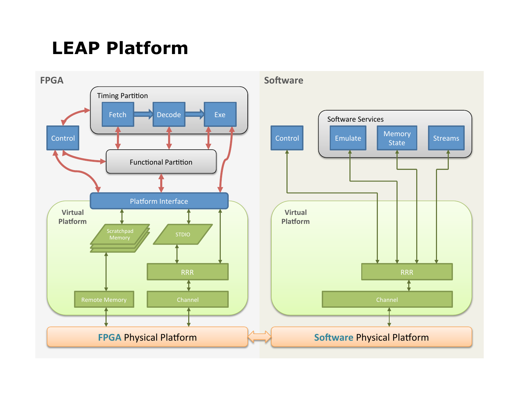### **LEAP Platform**

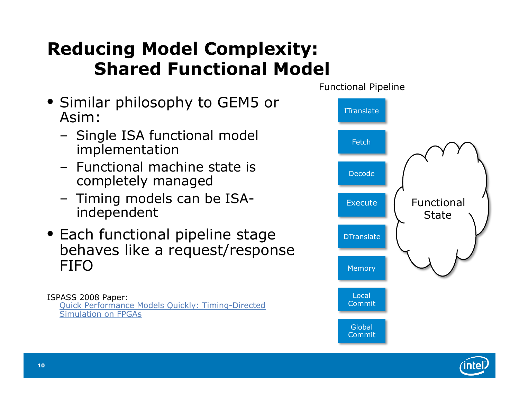### **Reducing Model Complexity: Shared Functional Model**

- Similar philosophy to GEM5 or Asim:
	- Single ISA functional model implementation
	- Functional machine state is completely managed
	- Timing models can be ISAindependent
- Each functional pipeline stage behaves like a request/response FIFO

ISPASS 2008 Paper: Quick Performance Models Quickly: Timing-Directed Simulation on FPGAs



**10**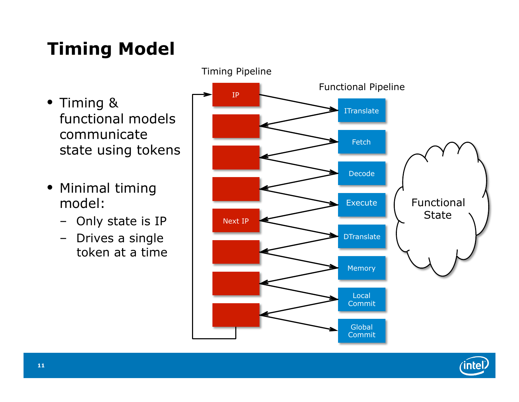# **Timing Model**

- Timing & functional models communicate state using tokens
- Minimal timing model:
	- Only state is IP
	- Drives a single token at a time



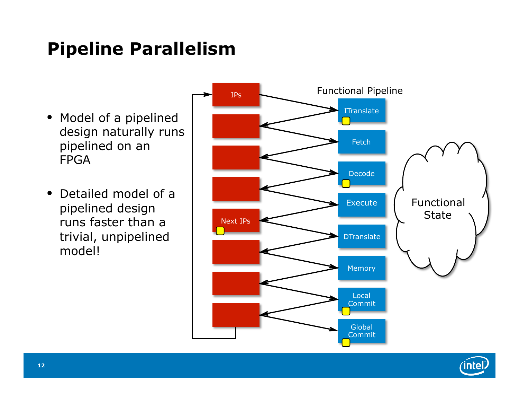### **Pipeline Parallelism**

- Model of a pipelined design naturally runs pipelined on an FPGA
- Detailed model of a pipelined design runs faster than a trivial, unpipelined model!





**intel**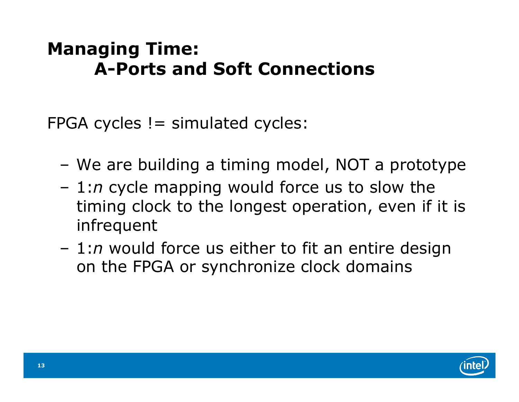#### **Managing Time: A-Ports and Soft Connections**

 $FPGA$  cycles  $!=$  simulated cycles:

- We are building a timing model, NOT a prototype
- 1:*n* cycle mapping would force us to slow the timing clock to the longest operation, even if it is infrequent
- 1:*n* would force us either to fit an entire design on the FPGA or synchronize clock domains

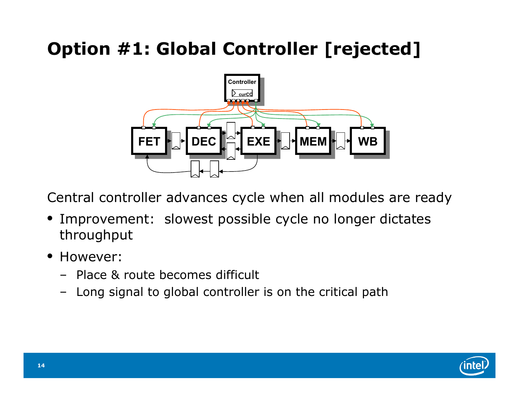# **Option #1: Global Controller [rejected]**



Central controller advances cycle when all modules are ready

- Improvement: slowest possible cycle no longer dictates throughput
- However:
	- Place & route becomes difficult
	- Long signal to global controller is on the critical path

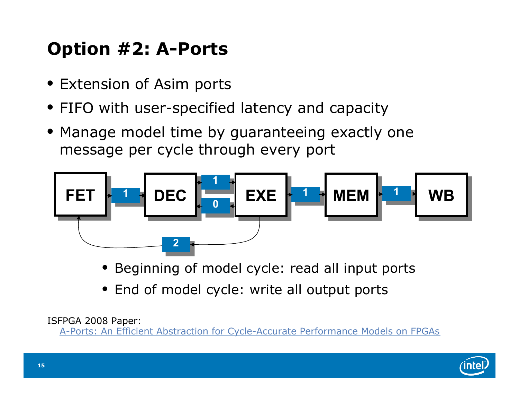# **Option #2: A-Ports**

- Extension of Asim ports
- FIFO with user-specified latency and capacity
- Manage model time by guaranteeing exactly one message per cycle through every port



- Beginning of model cycle: read all input ports
- End of model cycle: write all output ports

ISFPGA 2008 Paper:

A-Ports: An Efficient Abstraction for Cycle-Accurate Performance Models on FPGAs

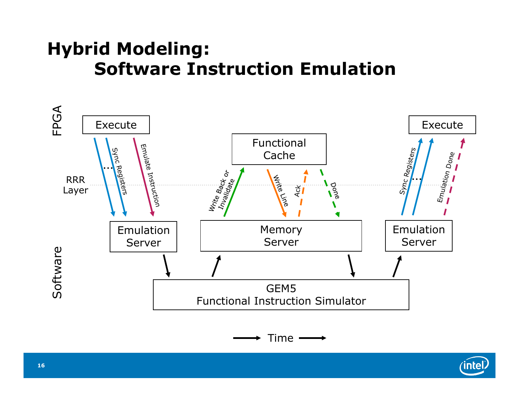#### **Hybrid Modeling: Software Instruction Emulation**



$$
\longrightarrow
$$
 Time  $\longrightarrow$